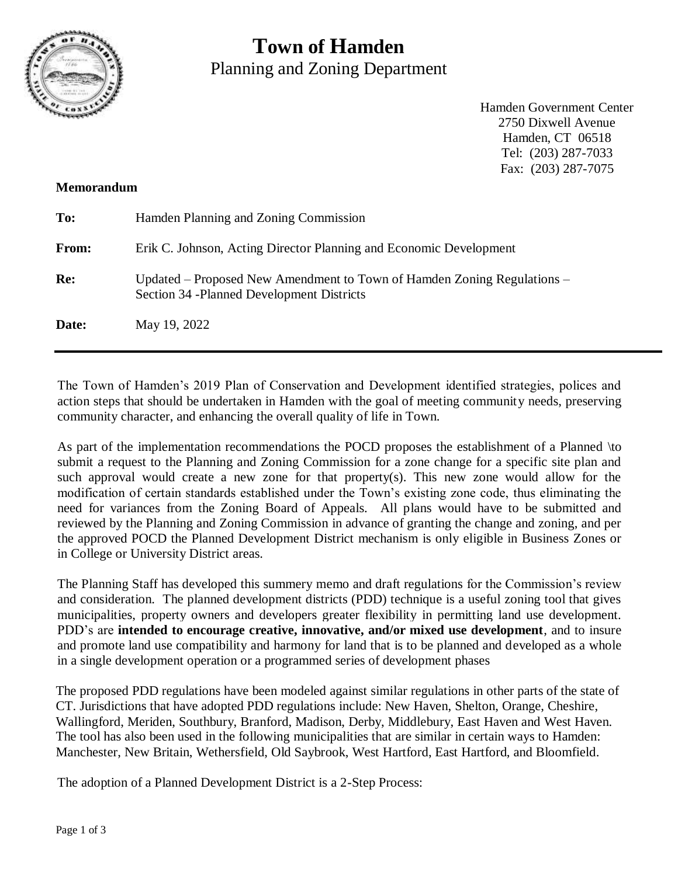

# **Town of Hamden** Planning and Zoning Department

Hamden Government Center 2750 Dixwell Avenue Hamden, CT 06518 Tel: (203) 287-7033 Fax: (203) 287-7075

#### **Memorandum**

| To:   | Hamden Planning and Zoning Commission                                                                                 |
|-------|-----------------------------------------------------------------------------------------------------------------------|
| From: | Erik C. Johnson, Acting Director Planning and Economic Development                                                    |
| Re:   | Updated – Proposed New Amendment to Town of Hamden Zoning Regulations –<br>Section 34 - Planned Development Districts |
| Date: | May 19, 2022                                                                                                          |

The Town of Hamden's 2019 Plan of Conservation and Development identified strategies, polices and action steps that should be undertaken in Hamden with the goal of meeting community needs, preserving community character, and enhancing the overall quality of life in Town.

As part of the implementation recommendations the POCD proposes the establishment of a Planned \to submit a request to the Planning and Zoning Commission for a zone change for a specific site plan and such approval would create a new zone for that property(s). This new zone would allow for the modification of certain standards established under the Town's existing zone code, thus eliminating the need for variances from the Zoning Board of Appeals. All plans would have to be submitted and reviewed by the Planning and Zoning Commission in advance of granting the change and zoning, and per the approved POCD the Planned Development District mechanism is only eligible in Business Zones or in College or University District areas.

The Planning Staff has developed this summery memo and draft regulations for the Commission's review and consideration. The planned development districts (PDD) technique is a useful zoning tool that gives municipalities, property owners and developers greater flexibility in permitting land use development. PDD's are **intended to encourage creative, innovative, and/or mixed use development**, and to insure and promote land use compatibility and harmony for land that is to be planned and developed as a whole in a single development operation or a programmed series of development phases

The proposed PDD regulations have been modeled against similar regulations in other parts of the state of CT. Jurisdictions that have adopted PDD regulations include: New Haven, Shelton, Orange, Cheshire, Wallingford, Meriden, Southbury, Branford, Madison, Derby, Middlebury, East Haven and West Haven. The tool has also been used in the following municipalities that are similar in certain ways to Hamden: Manchester, New Britain, Wethersfield, Old Saybrook, West Hartford, East Hartford, and Bloomfield.

The adoption of a Planned Development District is a 2-Step Process: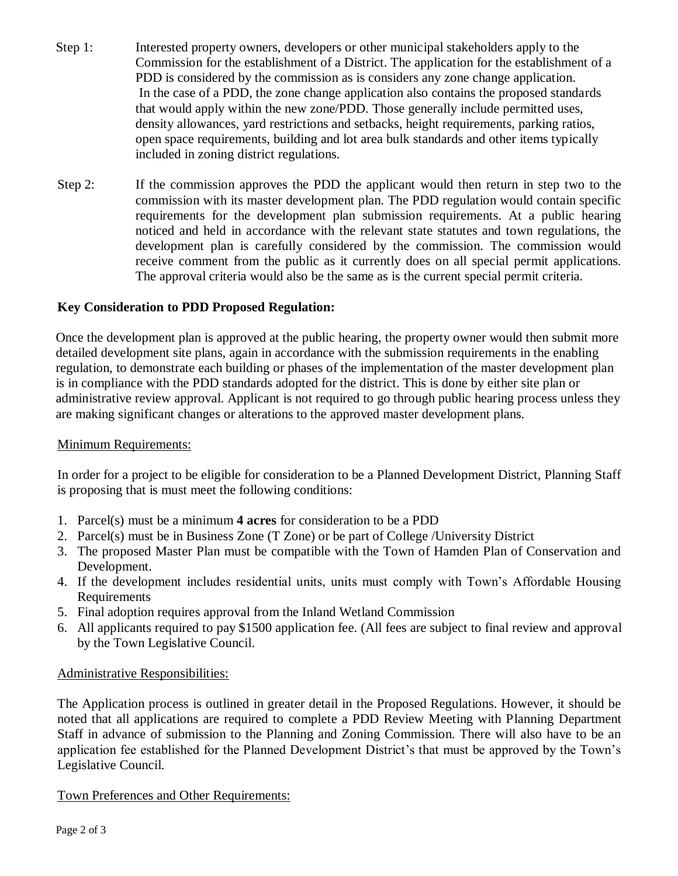- Step 1: Interested property owners, developers or other municipal stakeholders apply to the Commission for the establishment of a District. The application for the establishment of a PDD is considered by the commission as is considers any zone change application. In the case of a PDD, the zone change application also contains the proposed standards that would apply within the new zone/PDD. Those generally include permitted uses, density allowances, yard restrictions and setbacks, height requirements, parking ratios, open space requirements, building and lot area bulk standards and other items typically included in zoning district regulations.
- Step 2: If the commission approves the PDD the applicant would then return in step two to the commission with its master development plan. The PDD regulation would contain specific requirements for the development plan submission requirements. At a public hearing noticed and held in accordance with the relevant state statutes and town regulations, the development plan is carefully considered by the commission. The commission would receive comment from the public as it currently does on all special permit applications. The approval criteria would also be the same as is the current special permit criteria.

## **Key Consideration to PDD Proposed Regulation:**

Once the development plan is approved at the public hearing, the property owner would then submit more detailed development site plans, again in accordance with the submission requirements in the enabling regulation, to demonstrate each building or phases of the implementation of the master development plan is in compliance with the PDD standards adopted for the district. This is done by either site plan or administrative review approval. Applicant is not required to go through public hearing process unless they are making significant changes or alterations to the approved master development plans.

## Minimum Requirements:

In order for a project to be eligible for consideration to be a Planned Development District, Planning Staff is proposing that is must meet the following conditions:

- 1. Parcel(s) must be a minimum **4 acres** for consideration to be a PDD
- 2. Parcel(s) must be in Business Zone (T Zone) or be part of College /University District
- 3. The proposed Master Plan must be compatible with the Town of Hamden Plan of Conservation and Development.
- 4. If the development includes residential units, units must comply with Town's Affordable Housing Requirements
- 5. Final adoption requires approval from the Inland Wetland Commission
- 6. All applicants required to pay \$1500 application fee. (All fees are subject to final review and approval by the Town Legislative Council.

## Administrative Responsibilities:

The Application process is outlined in greater detail in the Proposed Regulations. However, it should be noted that all applications are required to complete a PDD Review Meeting with Planning Department Staff in advance of submission to the Planning and Zoning Commission. There will also have to be an application fee established for the Planned Development District's that must be approved by the Town's Legislative Council.

Town Preferences and Other Requirements: